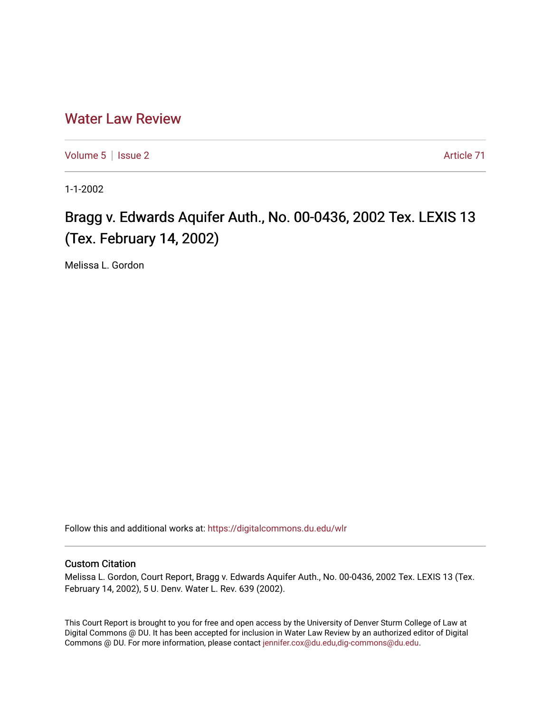# [Water Law Review](https://digitalcommons.du.edu/wlr)

[Volume 5](https://digitalcommons.du.edu/wlr/vol5) | [Issue 2](https://digitalcommons.du.edu/wlr/vol5/iss2) Article 71

1-1-2002

# Bragg v. Edwards Aquifer Auth., No. 00-0436, 2002 Tex. LEXIS 13 (Tex. February 14, 2002)

Melissa L. Gordon

Follow this and additional works at: [https://digitalcommons.du.edu/wlr](https://digitalcommons.du.edu/wlr?utm_source=digitalcommons.du.edu%2Fwlr%2Fvol5%2Fiss2%2F71&utm_medium=PDF&utm_campaign=PDFCoverPages) 

## Custom Citation

Melissa L. Gordon, Court Report, Bragg v. Edwards Aquifer Auth., No. 00-0436, 2002 Tex. LEXIS 13 (Tex. February 14, 2002), 5 U. Denv. Water L. Rev. 639 (2002).

This Court Report is brought to you for free and open access by the University of Denver Sturm College of Law at Digital Commons @ DU. It has been accepted for inclusion in Water Law Review by an authorized editor of Digital Commons @ DU. For more information, please contact [jennifer.cox@du.edu,dig-commons@du.edu.](mailto:jennifer.cox@du.edu,dig-commons@du.edu)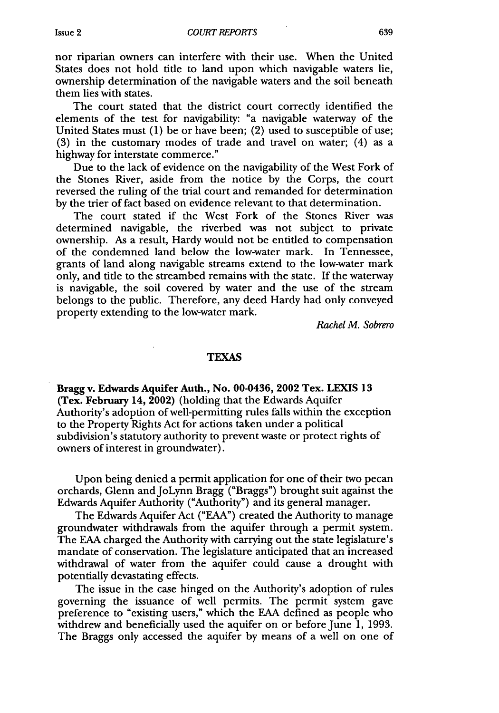nor riparian owners can interfere with their use. When the United States does not hold title to land upon which navigable waters lie, ownership determination of the navigable waters and the soil beneath them lies with states.

The court stated that the district court correctly identified the elements of the test for navigability: "a navigable waterway of the United States must (1) be or have been; (2) used to susceptible of use; (3) in the customary modes of trade and travel on water; (4) as a highway for interstate commerce."

Due to the lack of evidence on the navigability of the West Fork of the Stones River, aside from the notice by the Corps, the court reversed the ruling of the trial court and remanded for determination by the trier of fact based on evidence relevant to that determination.

The court stated if the West Fork of the Stones River was determined navigable, the riverbed was not subject to private ownership. As a result, Hardy would not be entitled to compensation of the condemned land below the low-water mark. In Tennessee, grants of land along navigable streams extend to the low-water mark only, and tide to the streambed remains with the state. If the waterway is navigable, the soil covered by water and the use of the stream belongs to the public. Therefore, any deed Hardy had only conveyed property extending to the low-water mark.

*Rachel M. Sobrero*

#### **TEXAS**

Bragg v. Edwards **Aquifer Auth., No.** 00-0436, **2002** Tex. **LEXIS 13** (Tex. February 14, 2002) (holding that the Edwards Aquifer Authority's adoption of well-permitting rules falls within the exception to the Property Rights Act for actions taken under a political subdivision's statutory authority to prevent waste or protect rights of owners of interest in groundwater).

Upon being denied a permit application for one of their two pecan orchards, Glenn and JoLynn Bragg ("Braggs") brought suit against the Edwards Aquifer Authority ("Authority") and its general manager.

The Edwards Aquifer Act ("EAA") created the Authority to manage groundwater withdrawals from the aquifer through a permit system. The **EAA** charged the Authority with carrying out the state legislature's mandate of conservation. The legislature anticipated that an increased withdrawal of water from the aquifer could cause a drought with potentially devastating effects.

The issue in the case hinged on the Authority's adoption of rules governing the issuance of well permits. The permit system gave preference to "existing users," which the EAA defined as people who withdrew and beneficially used the aquifer on or before June 1, 1993. The Braggs only accessed the aquifer by means of a well on one of

Issue 2